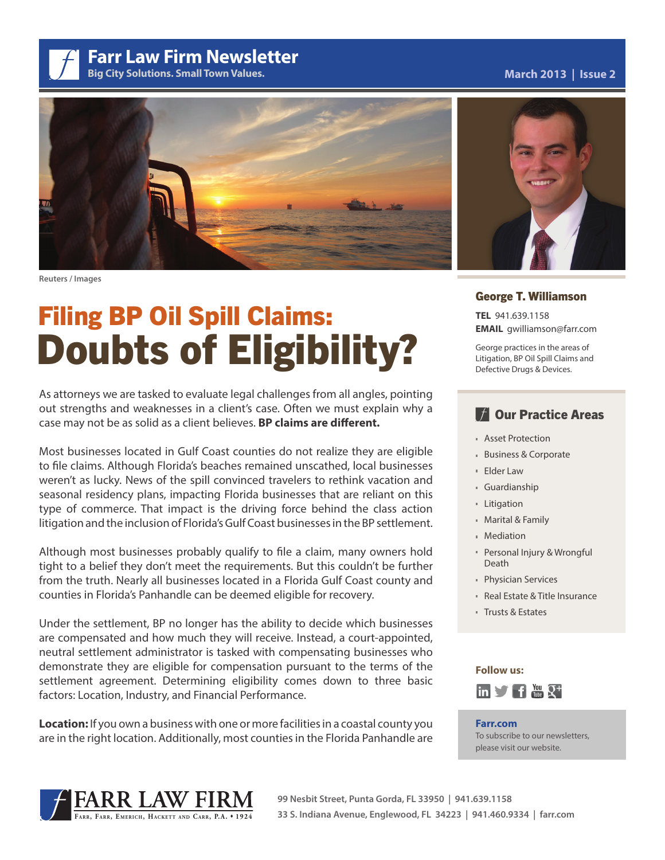**Farr Law Firm Newsletter**

**Big City Solutions. Small Town Values.**

## **March 2013 | Issue 2**



**Reuters / Images**

# Filing BP Oil Spill Claims: Doubts of Eligibility?

As attorneys we are tasked to evaluate legal challenges from all angles, pointing out strengths and weaknesses in a client's case. Often we must explain why a case may not be as solid as a client believes. **BP claims are different.**

Most businesses located in Gulf Coast counties do not realize they are eligible to file claims. Although Florida's beaches remained unscathed, local businesses weren't as lucky. News of the spill convinced travelers to rethink vacation and seasonal residency plans, impacting Florida businesses that are reliant on this type of commerce. That impact is the driving force behind the class action litigation and the inclusion of Florida's Gulf Coast businesses in the BP settlement.

Although most businesses probably qualify to file a claim, many owners hold tight to a belief they don't meet the requirements. But this couldn't be further from the truth. Nearly all businesses located in a Florida Gulf Coast county and counties in Florida's Panhandle can be deemed eligible for recovery.

Under the settlement, BP no longer has the ability to decide which businesses are compensated and how much they will receive. Instead, a court-appointed, neutral settlement administrator is tasked with compensating businesses who demonstrate they are eligible for compensation pursuant to the terms of the settlement agreement. Determining eligibility comes down to three basic factors: Location, Industry, and Financial Performance.

**Location:** If you own a business with one or more facilities in a coastal county you are in the right location. Additionally, most counties in the Florida Panhandle are



## George T. Williamson

**TEL** 941.639.1158 **EMAIL** gwilliamson@farr.com

George practices in the areas of Litigation, BP Oil Spill Claims and Defective Drugs & Devices.

# **TA Our Practice Areas**

- **Asset Protection**
- Business & Corporate
- Elder Law
- Guardianship
- **Litigation**
- Marital & Family
- **Mediation**
- Personal Injury & Wrongful Death
- Physician Services
- Real Estate & Title Insurance
- Trusts & Estates



## **Farr.com** To subscribe to our newsletters, please visit our website.